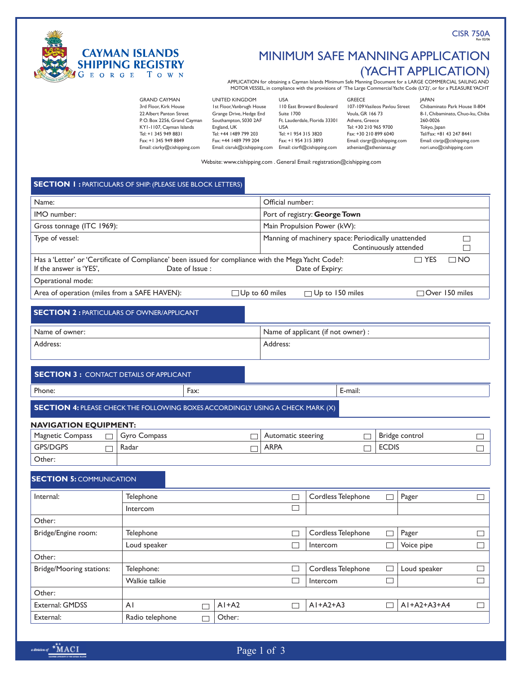CISR 750A



# MINIMUM SAFE MANNING Application (YACHT APPLICATION)

APPLICATION for obtaining a Cayman Islands Minimum Safe Manning Document for a LARGE COMMERCIAL SAILING AND MOTOR VESSEL, in compliance with the provisions of 'The Large Commercial Yacht Code (LY2)', or for a PLEASURE YACHT

| <b>GRAND CAYMAN</b>          | <b>UNITED KINGDOM</b>        | USA                           | <b>GREECE</b>                  | <b>IAPAN</b>                     |
|------------------------------|------------------------------|-------------------------------|--------------------------------|----------------------------------|
| 3rd Floor. Kirk House        | Ist Floor, Vanbrugh House    | 110 East Broward Boulevard    | 107-109 Vasileos Pavlou Street | Chibaminato Park House II-804    |
| 22 Albert Panton Street      | Grange Drive, Hedge End      | Suite 1700                    | Voula, GR 166 73               | 8-1, Chibaminato, Chuo-ku, Chiba |
| P.O. Box 2256, Grand Cayman  | Southampton, S030 2AF        | Ft. Lauderdale, Florida 33301 | Athens, Greece                 | 260-0026                         |
| KYI-1107, Cayman Islands     | England, UK                  | USA                           | Tel: +30 210 965 9700          | Tokyo, Japan                     |
| Tel: +1 345 949 8831         | Tel: +44 1489 799 203        | Tel: +1 954 315 3820          | Fax: +30 210 899 6040          | Tel/Fax: +81 43 247 8441         |
| Fax: +1 345 949 8849         | Fax: +44 1489 799 204        | Fax: +1 954 315 3893          | Email: cisrgr@cishipping.com   | Email: cisrip@cishipping.com     |
| Email: cisrky@cishipping.com | Email: cisruk@cishipping.com | Email: cisrfl@cishipping.com  | athenian@atheniansa.gr         | nori.uno@cishipping.com          |
|                              |                              |                               |                                |                                  |

Website: www.cishipping.com . General Email: registration@cishipping.com

# **SECTION 1 : PARTICULARS OF SHIP: (PLEASE USE BLOCK LETTERS)**

| Name:                                                                                 |                                                                                                                       |                       | Official number:              |                                                     |        |                       |              |
|---------------------------------------------------------------------------------------|-----------------------------------------------------------------------------------------------------------------------|-----------------------|-------------------------------|-----------------------------------------------------|--------|-----------------------|--------------|
| IMO number:                                                                           |                                                                                                                       |                       | Port of registry: George Town |                                                     |        |                       |              |
| Gross tonnage (ITC 1969):                                                             |                                                                                                                       |                       |                               | Main Propulsion Power (kW):                         |        |                       |              |
| Type of vessel:                                                                       |                                                                                                                       |                       |                               | Manning of machinery space: Periodically unattended |        | Continuously attended | $\Box$<br>П  |
| If the answer is 'YES',                                                               | Has a 'Letter' or 'Certificate of Compliance' been issued for compliance with the Mega Yacht Code?:<br>Date of Issue: |                       |                               | Date of Expiry:                                     |        | $\Box$ YES            | $\square$ NO |
| Operational mode:                                                                     |                                                                                                                       |                       |                               |                                                     |        |                       |              |
| Area of operation (miles from a SAFE HAVEN):                                          |                                                                                                                       | $\Box$ Up to 60 miles |                               | □ Up to 150 miles                                   |        | Over 150 miles        |              |
| <b>SECTION 2: PARTICULARS OF OWNER/APPLICANT</b>                                      |                                                                                                                       |                       |                               |                                                     |        |                       |              |
| Name of owner:                                                                        |                                                                                                                       |                       |                               | Name of applicant (if not owner) :                  |        |                       |              |
| Address:                                                                              |                                                                                                                       |                       | Address:                      |                                                     |        |                       |              |
|                                                                                       |                                                                                                                       |                       |                               |                                                     |        |                       |              |
| <b>SECTION 3: CONTACT DETAILS OF APPLICANT</b>                                        |                                                                                                                       |                       |                               |                                                     |        |                       |              |
| Phone:                                                                                | Fax:                                                                                                                  |                       |                               | E-mail:                                             |        |                       |              |
| <b>SECTION 4: PLEASE CHECK THE FOLLOWING BOXES ACCORDINGLY USING A CHECK MARK (X)</b> |                                                                                                                       |                       |                               |                                                     |        |                       |              |
|                                                                                       |                                                                                                                       |                       |                               |                                                     |        |                       |              |
| <b>NAVIGATION EQUIPMENT:</b><br><b>Magnetic Compass</b>                               | Gyro Compass                                                                                                          | <b>The State</b>      | Automatic steering            |                                                     |        | Bridge control        |              |
| <b>GPS/DGPS</b>                                                                       | Radar                                                                                                                 | <b>ARPA</b>           | П<br>$\Box$                   | <b>ECDIS</b>                                        |        | $\Box$<br>$\Box$      |              |
| Other:                                                                                |                                                                                                                       |                       |                               |                                                     |        |                       |              |
|                                                                                       |                                                                                                                       |                       |                               |                                                     |        |                       |              |
| <b>SECTION 5: COMMUNICATION</b>                                                       |                                                                                                                       |                       |                               |                                                     |        |                       |              |
| Internal:                                                                             | Telephone                                                                                                             |                       | $\Box$                        | Cordless Telephone                                  | $\Box$ | Pager                 | $\Box$       |
|                                                                                       | Intercom                                                                                                              |                       | П                             |                                                     |        |                       |              |
| Other:                                                                                |                                                                                                                       |                       |                               |                                                     |        |                       |              |
| Bridge/Engine room:                                                                   | Telephone                                                                                                             |                       |                               | Cordless Telephone                                  |        | Pager                 |              |
| Loud speaker                                                                          |                                                                                                                       |                       | $\Box$                        | Intercom                                            |        | Voice pipe            | $\Box$       |
| Other:                                                                                |                                                                                                                       |                       |                               |                                                     |        |                       |              |
| <b>Bridge/Mooring stations:</b>                                                       | Telephone:                                                                                                            |                       | $\Box$                        | Cordless Telephone                                  | $\Box$ | Loud speaker          | $\Box$       |
|                                                                                       | Walkie talkie                                                                                                         |                       | $\Box$                        | Intercom                                            | $\Box$ |                       | $\Box$       |
| Other:                                                                                |                                                                                                                       |                       |                               |                                                     |        |                       |              |
| <b>External: GMDSS</b>                                                                | AI<br>П                                                                                                               | $AI+A2$               | $\Box$                        | $AI+A2+A3$                                          |        | $AI+A2+A3+A4$         | $\Box$       |
| External:                                                                             | Radio telephone<br>$\Box$                                                                                             | Other:                |                               |                                                     |        |                       |              |

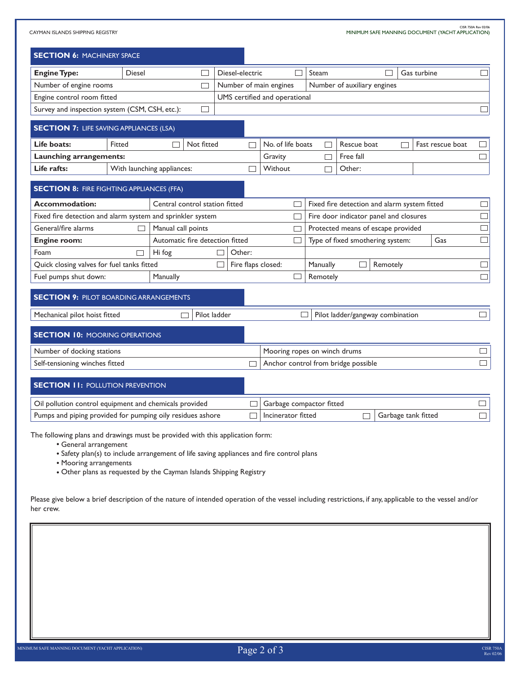CAYMAN ISLANDS SHIPPING REGISTRY (2006 بالاستراحية المستراحية المستراحية المستراحية المستراحية المستراحية المستراحية<br>MINIMUM SAFE MANNING DOCUMENT (YACHT APPLICATION)

| <b>SECTION 6: MACHINERY SPACE</b>                                                                      |        |                                                                                          |                          |                                     |          |                                              |          |                     |                  |        |
|--------------------------------------------------------------------------------------------------------|--------|------------------------------------------------------------------------------------------|--------------------------|-------------------------------------|----------|----------------------------------------------|----------|---------------------|------------------|--------|
| <b>Engine Type:</b>                                                                                    | Diesel |                                                                                          | Diesel-electric          |                                     | Steam    |                                              |          | Gas turbine         |                  |        |
| Number of engine rooms<br>$\Box$                                                                       |        |                                                                                          |                          | Number of main engines              |          | Number of auxiliary engines                  |          |                     |                  |        |
| Engine control room fitted                                                                             |        |                                                                                          |                          | UMS certified and operational       |          |                                              |          |                     |                  |        |
| Survey and inspection system (CSM, CSH, etc.):                                                         |        | $\Box$                                                                                   |                          |                                     |          |                                              |          |                     |                  | $\Box$ |
| <b>SECTION 7: LIFE SAVING APPLIANCES (LSA)</b>                                                         |        |                                                                                          |                          |                                     |          |                                              |          |                     |                  |        |
| Life boats:                                                                                            | Fitted | Not fitted                                                                               | $\Box$                   | No. of life boats                   | П        | Rescue boat                                  |          |                     | Fast rescue boat |        |
| Launching arrangements:                                                                                |        |                                                                                          |                          | Gravity                             |          | Free fall                                    |          |                     |                  | П      |
| Life rafts:                                                                                            |        | With launching appliances:                                                               |                          | Without                             | ٦        | Other:                                       |          |                     |                  |        |
| <b>SECTION 8: FIRE FIGHTING APPLIANCES (FFA)</b>                                                       |        |                                                                                          |                          |                                     |          |                                              |          |                     |                  |        |
| Accommodation:                                                                                         |        | Central control station fitted                                                           |                          |                                     |          | Fixed fire detection and alarm system fitted |          |                     |                  |        |
| Fixed fire detection and alarm system and sprinkler system                                             |        |                                                                                          |                          |                                     |          | Fire door indicator panel and closures       |          |                     |                  | $\Box$ |
| General/fire alarms                                                                                    |        | Manual call points                                                                       |                          |                                     |          | Protected means of escape provided           |          |                     |                  | $\Box$ |
| <b>Engine room:</b>                                                                                    |        | Automatic fire detection fitted                                                          |                          |                                     |          | Type of fixed smothering system:             |          |                     | Gas              | $\Box$ |
| Foam                                                                                                   | $\Box$ | Hi fog                                                                                   | Other:                   |                                     |          |                                              |          |                     |                  |        |
| Quick closing valves for fuel tanks fitted                                                             |        |                                                                                          | Г                        | Fire flaps closed:                  | Manually | Г                                            | Remotely |                     |                  | $\Box$ |
| Fuel pumps shut down:                                                                                  |        | Manually                                                                                 |                          |                                     | Remotely |                                              |          |                     |                  | $\Box$ |
| <b>SECTION 9: PILOT BOARDING ARRANGEMENTS</b>                                                          |        |                                                                                          |                          |                                     |          |                                              |          |                     |                  |        |
| Pilot ladder<br>Mechanical pilot hoist fitted                                                          |        |                                                                                          |                          |                                     |          | Pilot ladder/gangway combination             |          |                     |                  | $\Box$ |
| <b>SECTION 10: MOORING OPERATIONS</b>                                                                  |        |                                                                                          |                          |                                     |          |                                              |          |                     |                  |        |
| Number of docking stations                                                                             |        |                                                                                          |                          | Mooring ropes on winch drums        |          |                                              |          |                     |                  |        |
| Self-tensioning winches fitted                                                                         |        |                                                                                          |                          | Anchor control from bridge possible |          |                                              |          |                     |                  |        |
| <b>SECTION II: POLLUTION PREVENTION</b>                                                                |        |                                                                                          |                          |                                     |          |                                              |          |                     |                  |        |
| Oil pollution control equipment and chemicals provided                                                 |        |                                                                                          | Garbage compactor fitted |                                     |          |                                              |          |                     |                  |        |
| Pumps and piping provided for pumping oily residues ashore                                             |        |                                                                                          |                          | Incinerator fitted                  |          | $\Box$                                       |          | Garbage tank fitted |                  | $\Box$ |
| The following plans and drawings must be provided with this application form:<br>• General arrangement |        | • Safety plan(s) to include arrangement of life saving appliances and fire control plans |                          |                                     |          |                                              |          |                     |                  |        |

• Mooring arrangements

Other plans as requested by the Cayman Islands Shipping Registry

Please give below a brief description of the nature of intended operation of the vessel including restrictions, if any, applicable to the vessel and/or her crew.